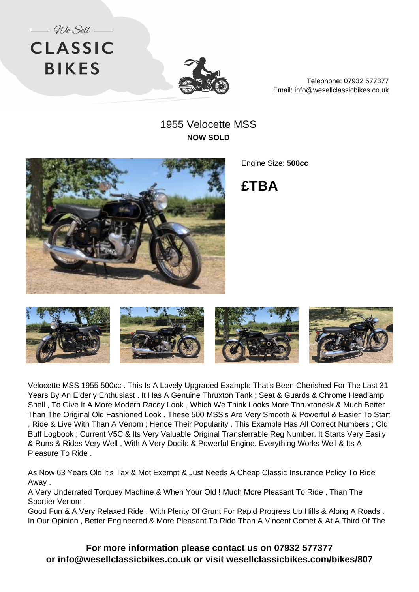



Telephone: 07932 577377 Email: info@wesellclassicbikes.co.uk

## 1955 Velocette MSS **NOW SOLD**



Engine Size: **500cc**

**£TBA**



Velocette MSS 1955 500cc . This Is A Lovely Upgraded Example That's Been Cherished For The Last 31 Years By An Elderly Enthusiast . It Has A Genuine Thruxton Tank ; Seat & Guards & Chrome Headlamp Shell , To Give It A More Modern Racey Look , Which We Think Looks More Thruxtonesk & Much Better Than The Original Old Fashioned Look . These 500 MSS's Are Very Smooth & Powerful & Easier To Start , Ride & Live With Than A Venom ; Hence Their Popularity . This Example Has All Correct Numbers ; Old Buff Logbook ; Current V5C & Its Very Valuable Original Transferrable Reg Number. It Starts Very Easily & Runs & Rides Very Well , With A Very Docile & Powerful Engine. Everything Works Well & Its A Pleasure To Ride .

As Now 63 Years Old It's Tax & Mot Exempt & Just Needs A Cheap Classic Insurance Policy To Ride Away .

A Very Underrated Torquey Machine & When Your Old ! Much More Pleasant To Ride , Than The Sportier Venom !

Good Fun & A Very Relaxed Ride , With Plenty Of Grunt For Rapid Progress Up Hills & Along A Roads . In Our Opinion , Better Engineered & More Pleasant To Ride Than A Vincent Comet & At A Third Of The

**For more information please contact us on 07932 577377 or info@wesellclassicbikes.co.uk or visit wesellclassicbikes.com/bikes/807**